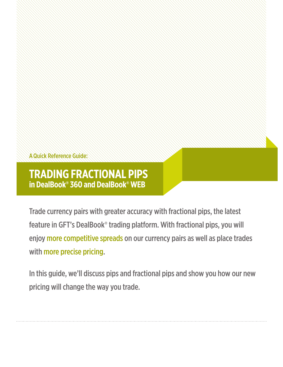AQuick Reference Guide:

## **TRADING FRACTIONAL PIPS in DealBook® 360 and DealBook® WEB**

Trade currency pairs with greater accuracy with fractional pips, the latest feature in GFT's DealBook® trading platform. With fractional pips, you will enjoy more competitive spreads on our currency pairs as well as place trades with more precise pricing.

In this guide, we'll discuss pips and fractional pips and show you how our new pricing will change the way you trade.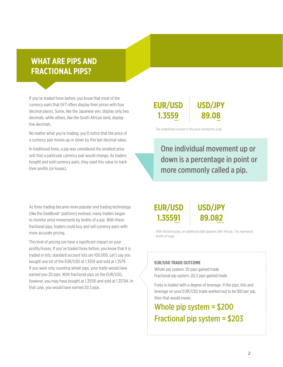#### **WHAT ARE PIPS AND FRACTIONAL PIPS?**

If you've traded forex before, you know that most of the currency pairs that GFT offers display their prices with four decimal places. Some, like the Japanese yen, display only two decimals, while others, like the South African rand, display five decimals.

No matter what you're trading, you'll notice that the price of a currency pair moves up or down by this last decimal value.

In traditional forex, a pip was considered the smallest price unit that a particular currency pair would change. As traders bought and sold currency pairs, they used this value to track their profits (or losses).

#### As forex trading became more popular and trading technology (like the DealBook® platform) evolved, many traders began to monitor price movements by tenths of a pip. With these fractional pips, traders could buy and sell currency pairs with more accurate pricing.

This kind of pricing can have a significant impact on your profits/losses. If you've traded forex before, you know that it is traded in lots: standard account lots are 100,000. Let's say you bought one lot of the EUR/USD at 1.3559 and sold at 1.3579. If you were only counting whole pips, your trade would have earned you 20 pips. With fractional pips on the EUR/USD, however, you may have bought at 1.35591 and sold at 1.35794. In that case, you would have earned 20.3 pips.

#### **EUR/USD 1.3559 USD/JPY 89.08**

*The underlined number in the price represents a pip.*

One individual movement up or down is a percentage in point or more commonly called a pip.

### **EUR/USD 1.35591**

## **USD/JPY 89.082**

*With fractional pips, an additional digit appears after the pip. This represents tenths of a pip.*

#### **EUR/USD TRADE OUTCOME**

Whole pip system: 20 pips gained trade Fractional pip system: 20.3 pips gained trade

Forex is traded with a degree of leverage. If the pips, lots and leverage on your EUR/USD trade worked out to be \$10 per pip, then that would mean:

# Whole pip system = \$200 Fractional pip system = \$203